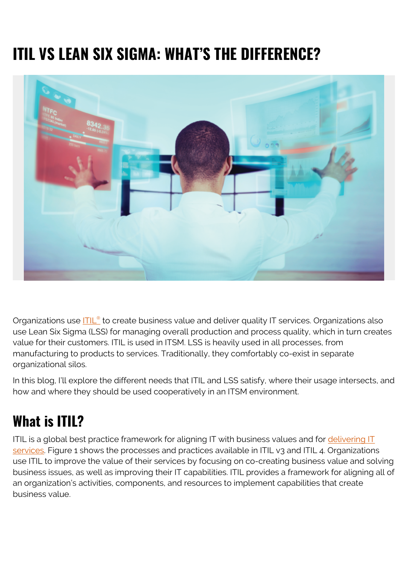# **ITIL VS LEAN SIX SIGMA: WHAT'S THE DIFFERENCE?**



Organizations use **[ITIL](https://blogs.bmc.com/blogs/itil-4/)<sup>[®](https://blogs.bmc.com/blogs/itil-4/)</sup> to create business value and deliver quality IT services. Organizations also** use Lean Six Sigma (LSS) for managing overall production and process quality, which in turn creates value for their customers. ITIL is used in ITSM. LSS is heavily used in all processes, from manufacturing to products to services. Traditionally, they comfortably co-exist in separate organizational silos.

In this blog, I'll explore the different needs that ITIL and LSS satisfy, where their usage intersects, and how and where they should be used cooperatively in an ITSM environment.

### **What is ITIL?**

ITIL is a global best practice framework for aligning IT with business values and for [delivering IT](https://blogs.bmc.com/blogs/itil-service-delivery/) [services](https://blogs.bmc.com/blogs/itil-service-delivery/). Figure 1 shows the processes and practices available in ITIL v3 and ITIL 4. Organizations use ITIL to improve the value of their services by focusing on co-creating business value and solving business issues, as well as improving their IT capabilities. ITIL provides a framework for aligning all of an organization's activities, components, and resources to implement capabilities that create business value.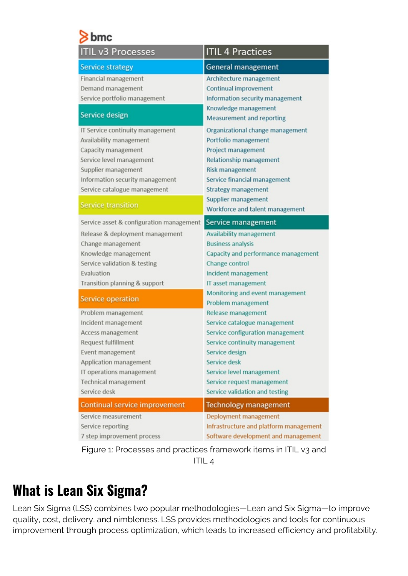| <b>ITIL v3 Processes</b>                 | <b>ITIL 4 Practices</b>                                  |
|------------------------------------------|----------------------------------------------------------|
| <b>Service strategy</b>                  | <b>General management</b>                                |
| Financial management                     | Architecture management                                  |
| Demand management                        | <b>Continual improvement</b>                             |
| Service portfolio management             | Information security management                          |
| Service design                           | Knowledge management<br><b>Measurement and reporting</b> |
| IT Service continuity management         | Organizational change management                         |
| Availability management                  | Portfolio management                                     |
| Capacity management                      | Project management                                       |
| Service level management                 | Relationship management                                  |
| Supplier management                      | <b>Risk management</b>                                   |
| Information security management          | Service financial management                             |
| Service catalogue management             | <b>Strategy management</b>                               |
|                                          | Supplier management                                      |
| <b>Service transition</b>                | Workforce and talent management                          |
| Service asset & configuration management | Service management                                       |
| Release & deployment management          | <b>Availability management</b>                           |
| Change management                        | <b>Business analysis</b>                                 |
| Knowledge management                     | Capacity and performance management                      |
| Service validation & testing             | Change control                                           |
| Evaluation                               | Incident management                                      |
| Transition planning & support            | IT asset management                                      |
| Service operation                        | Monitoring and event management                          |
|                                          | Problem management                                       |
| Problem management                       | Release management                                       |
| Incident management                      | Service catalogue management                             |
| Access management                        | Service configuration management                         |
| Request fulfillment                      | Service continuity management                            |
| Event management                         | Service design                                           |
| Application management                   | Service desk                                             |
| IT operations management                 | Service level management                                 |
| <b>Technical management</b>              | Service request management                               |
| Service desk                             | Service validation and testing                           |
| Continual service improvement            | <b>Technology management</b>                             |
| Service measurement                      | Deployment management                                    |
| Service reporting                        | Infrastructure and platform management                   |
| 7 step improvement process               | Software development and management                      |

Figure 1: Processes and practices framework items in ITIL v3 and ITIL 4

### **What is Lean Six Sigma?**

Lean Six Sigma (LSS) combines two popular methodologies—Lean and Six Sigma—to improve quality, cost, delivery, and nimbleness. LSS provides methodologies and tools for continuous improvement through process optimization, which leads to increased efficiency and profitability.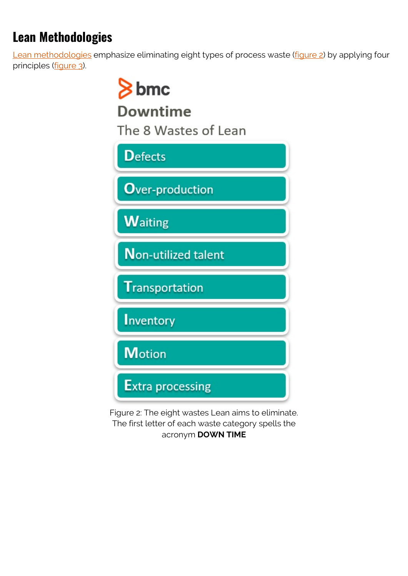### **Lean Methodologies**

[Lean methodologies](https://blogs.bmc.com/blogs/lean-startup-enterprise/) emphasize eliminating eight types of process waste [\(figure 2\)](#page--1-0) by applying four principles [\(figure 3\)](#page--1-0).



Figure 2: The eight wastes Lean aims to eliminate. The first letter of each waste category spells the acronym **DOWN TIME**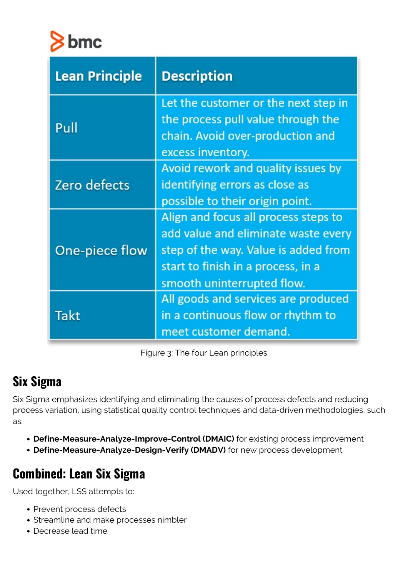

| <b>Lean Principle</b> | <b>Description</b>                                                         |
|-----------------------|----------------------------------------------------------------------------|
| Pull                  | Let the customer or the next step in<br>the process pull value through the |
|                       | chain. Avoid over-production and<br>excess inventory.                      |
| Zero defects          | Avoid rework and quality issues by                                         |
|                       | identifying errors as close as                                             |
|                       | possible to their origin point.                                            |
| One-piece flow        | Align and focus all process steps to                                       |
|                       | add value and eliminate waste every                                        |
|                       | step of the way. Value is added from                                       |
|                       | start to finish in a process, in a                                         |
|                       | smooth uninterrupted flow.                                                 |
| Takt                  | All goods and services are produced                                        |
|                       | in a continuous flow or rhythm to                                          |
|                       | meet customer demand.                                                      |

Figure 3: The four Lean principles

#### **Six Sigma**

Six Sigma emphasizes identifying and eliminating the causes of process defects and reducing process variation, using statistical quality control techniques and data-driven methodologies, such as:

- **Define-Measure-Analyze-Improve-Control (DMAIC)** for existing process improvement
- **Define-Measure-Analyze-Design-Verify (DMADV)** for new process development

### **Combined: Lean Six Sigma**

Used together, LSS attempts to:

- Prevent process defects
- Streamline and make processes nimbler
- Decrease lead time